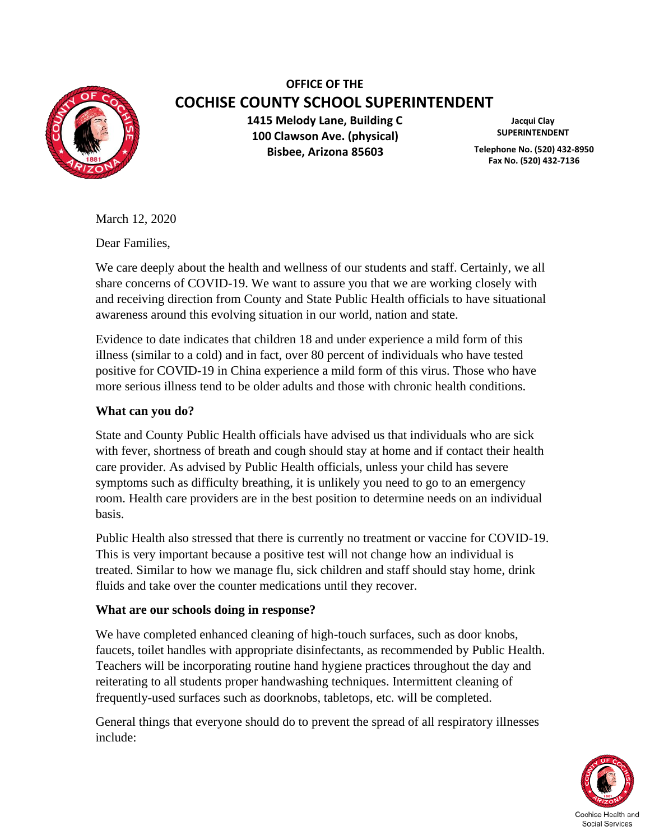

# **OFFICE OF THE COCHISE COUNTY SCHOOL SUPERINTENDENT**

**1415 Melody Lane, Building C 100 Clawson Ave. (physical) Bisbee, Arizona 85603**

**Jacqui Clay SUPERINTENDENT**

**Telephone No. (520) 432-8950 Fax No. (520) 432-7136**

March 12, 2020

Dear Families,

We care deeply about the health and wellness of our students and staff. Certainly, we all share concerns of COVID-19. We want to assure you that we are working closely with and receiving direction from County and State Public Health officials to have situational awareness around this evolving situation in our world, nation and state.

Evidence to date indicates that children 18 and under experience a mild form of this illness (similar to a cold) and in fact, over 80 percent of individuals who have tested positive for COVID-19 in China experience a mild form of this virus. Those who have more serious illness tend to be older adults and those with chronic health conditions.

### **What can you do?**

State and County Public Health officials have advised us that individuals who are sick with fever, shortness of breath and cough should stay at home and if contact their health care provider. As advised by Public Health officials, unless your child has severe symptoms such as difficulty breathing, it is unlikely you need to go to an emergency room. Health care providers are in the best position to determine needs on an individual basis.

Public Health also stressed that there is currently no treatment or vaccine for COVID-19. This is very important because a positive test will not change how an individual is treated. Similar to how we manage flu, sick children and staff should stay home, drink fluids and take over the counter medications until they recover.

### **What are our schools doing in response?**

We have completed enhanced cleaning of high-touch surfaces, such as door knobs, faucets, toilet handles with appropriate disinfectants, as recommended by Public Health. Teachers will be incorporating routine hand hygiene practices throughout the day and reiterating to all students proper handwashing techniques. Intermittent cleaning of frequently-used surfaces such as doorknobs, tabletops, etc. will be completed.

General things that everyone should do to prevent the spread of all respiratory illnesses include:

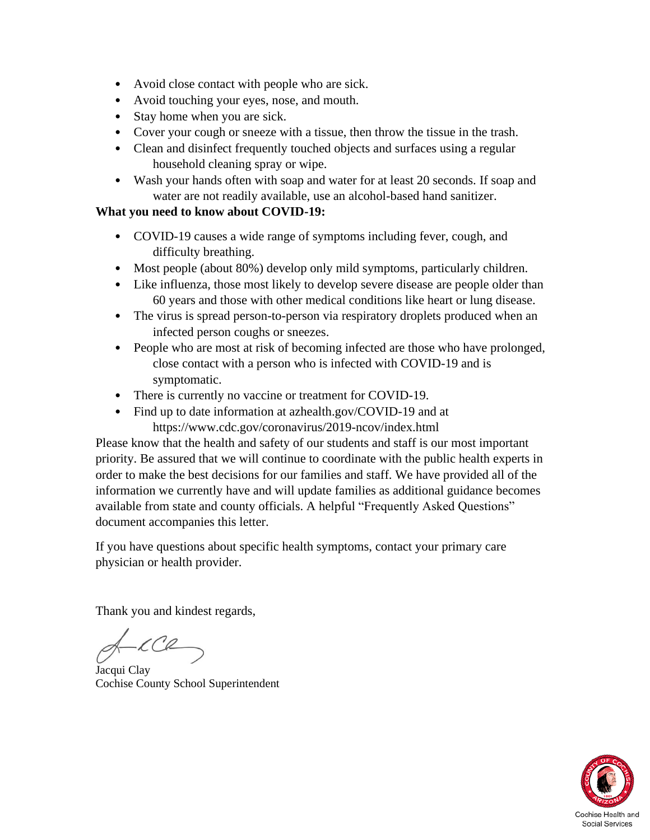- Avoid close contact with people who are sick.
- Avoid touching your eyes, nose, and mouth.
- Stay home when you are sick.
- Cover your cough or sneeze with a tissue, then throw the tissue in the trash.
- Clean and disinfect frequently touched objects and surfaces using a regular household cleaning spray or wipe.
- Wash your hands often with soap and water for at least 20 seconds. If soap and water are not readily available, use an alcohol-based hand sanitizer.

### **What you need to know about COVID-19:**

- COVID-19 causes a wide range of symptoms including fever, cough, and difficulty breathing.
- Most people (about 80%) develop only mild symptoms, particularly children.
- Like influenza, those most likely to develop severe disease are people older than 60 years and those with other medical conditions like heart or lung disease.
- The virus is spread person-to-person via respiratory droplets produced when an infected person coughs or sneezes.
- People who are most at risk of becoming infected are those who have prolonged, close contact with a person who is infected with COVID-19 and is symptomatic.
- There is currently no vaccine or treatment for COVID-19.
- Find up to date information at azhealth.gov/COVID-19 and at https://www.cdc.gov/coronavirus/2019-ncov/index.html

Please know that the health and safety of our students and staff is our most important priority. Be assured that we will continue to coordinate with the public health experts in order to make the best decisions for our families and staff. We have provided all of the information we currently have and will update families as additional guidance becomes available from state and county officials. A helpful "Frequently Asked Questions" document accompanies this letter.

If you have questions about specific health symptoms, contact your primary care physician or health provider.

Thank you and kindest regards,

Jacqui Clay Cochise County School Superintendent

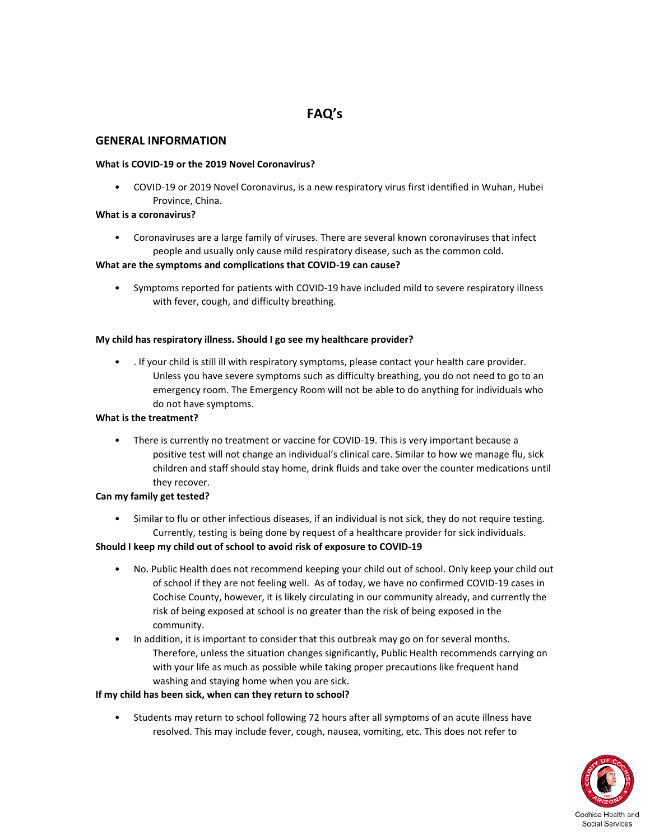## **FAQ's**

#### **GENERAL INFORMATION**

#### **What is COVID-19 or the 2019 Novel Coronavirus?**

• COVID-19 or 2019 Novel Coronavirus, is a new respiratory virus first identified in Wuhan, Hubei Province, China.

#### **What is a coronavirus?**

• Coronaviruses are a large family of viruses. There are several known coronaviruses that infect people and usually only cause mild respiratory disease, such as the common cold.

#### **What are the symptoms and complications that COVID-19 can cause?**

• Symptoms reported for patients with COVID-19 have included mild to severe respiratory illness with fever, cough, and difficulty breathing.

#### **My child has respiratory illness. Should I go see my healthcare provider?**

• . If your child is still ill with respiratory symptoms, please contact your health care provider. Unless you have severe symptoms such as difficulty breathing, you do not need to go to an emergency room. The Emergency Room will not be able to do anything for individuals who do not have symptoms.

#### **What is the treatment?**

• There is currently no treatment or vaccine for COVID-19. This is very important because a positive test will not change an individual's clinical care. Similar to how we manage flu, sick children and staff should stay home, drink fluids and take over the counter medications until they recover.

#### **Can my family get tested?**

• Similar to flu or other infectious diseases, if an individual is not sick, they do not require testing. Currently, testing is being done by request of a healthcare provider for sick individuals.

#### **Should I keep my child out of school to avoid risk of exposure to COVID-19**

- No. Public Health does not recommend keeping your child out of school. Only keep your child out of school if they are not feeling well. As of today, we have no confirmed COVID-19 cases in Cochise County, however, it is likely circulating in our community already, and currently the risk of being exposed at school is no greater than the risk of being exposed in the community.
- In addition, it is important to consider that this outbreak may go on for several months. Therefore, unless the situation changes significantly, Public Health recommends carrying on with your life as much as possible while taking proper precautions like frequent hand washing and staying home when you are sick.

#### **If my child has been sick, when can they return to school?**

• Students may return to school following 72 hours after all symptoms of an acute illness have resolved. This may include fever, cough, nausea, vomiting, etc. This does not refer to